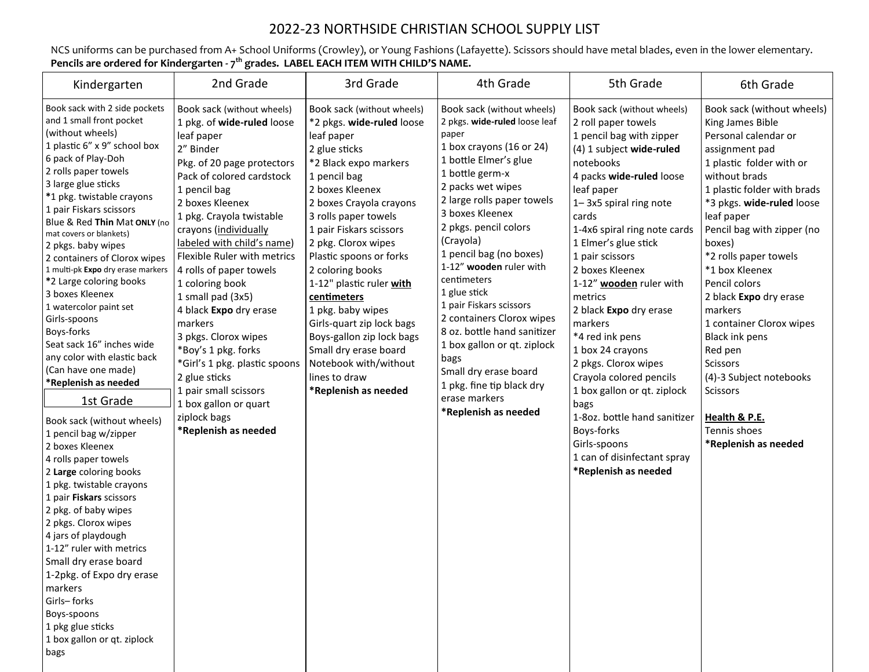## 2022-23 NORTHSIDE CHRISTIAN SCHOOL SUPPLY LIST

NCS uniforms can be purchased from A+ School Uniforms (Crowley), or Young Fashions (Lafayette). Scissors should have metal blades, even in the lower elementary. **Pencils are ordered for Kindergarten - 7 th grades. LABEL EACH ITEM WITH CHILD'S NAME.**

| Kindergarten                                                                                                                                                                                                                                                                                                                                                                                                                                                                                                                                                                                                                                                                                                                                                                                                                                                                                                                                                                                                                                                                    | 2nd Grade                                                                                                                                                                                                                                                                                                                                                                                                                                                                                                                                                                                              | 3rd Grade                                                                                                                                                                                                                                                                                                                                                                                                                                                                                                                   | 4th Grade                                                                                                                                                                                                                                                                                                                                                                                                                                                                                                                                                                  | 5th Grade                                                                                                                                                                                                                                                                                                                                                                                                                                                                                                                                                                                                                          | 6th Grade                                                                                                                                                                                                                                                                                                                                                                                                                                                                                                                                   |
|---------------------------------------------------------------------------------------------------------------------------------------------------------------------------------------------------------------------------------------------------------------------------------------------------------------------------------------------------------------------------------------------------------------------------------------------------------------------------------------------------------------------------------------------------------------------------------------------------------------------------------------------------------------------------------------------------------------------------------------------------------------------------------------------------------------------------------------------------------------------------------------------------------------------------------------------------------------------------------------------------------------------------------------------------------------------------------|--------------------------------------------------------------------------------------------------------------------------------------------------------------------------------------------------------------------------------------------------------------------------------------------------------------------------------------------------------------------------------------------------------------------------------------------------------------------------------------------------------------------------------------------------------------------------------------------------------|-----------------------------------------------------------------------------------------------------------------------------------------------------------------------------------------------------------------------------------------------------------------------------------------------------------------------------------------------------------------------------------------------------------------------------------------------------------------------------------------------------------------------------|----------------------------------------------------------------------------------------------------------------------------------------------------------------------------------------------------------------------------------------------------------------------------------------------------------------------------------------------------------------------------------------------------------------------------------------------------------------------------------------------------------------------------------------------------------------------------|------------------------------------------------------------------------------------------------------------------------------------------------------------------------------------------------------------------------------------------------------------------------------------------------------------------------------------------------------------------------------------------------------------------------------------------------------------------------------------------------------------------------------------------------------------------------------------------------------------------------------------|---------------------------------------------------------------------------------------------------------------------------------------------------------------------------------------------------------------------------------------------------------------------------------------------------------------------------------------------------------------------------------------------------------------------------------------------------------------------------------------------------------------------------------------------|
| Book sack with 2 side pockets<br>and 1 small front pocket<br>(without wheels)<br>1 plastic 6" x 9" school box<br>6 pack of Play-Doh<br>2 rolls paper towels<br>3 large glue sticks<br>*1 pkg. twistable crayons<br>1 pair Fiskars scissors<br>Blue & Red Thin Mat ONLY (no<br>mat covers or blankets)<br>2 pkgs. baby wipes<br>2 containers of Clorox wipes<br>1 multi-pk Expo dry erase markers<br>*2 Large coloring books<br>3 boxes Kleenex<br>1 watercolor paint set<br>Girls-spoons<br>Boys-forks<br>Seat sack 16" inches wide<br>any color with elastic back<br>(Can have one made)<br>*Replenish as needed<br>1st Grade<br>Book sack (without wheels)<br>1 pencil bag w/zipper<br>2 boxes Kleenex<br>4 rolls paper towels<br>2 Large coloring books<br>1 pkg. twistable crayons<br>1 pair Fiskars scissors<br>2 pkg. of baby wipes<br>2 pkgs. Clorox wipes<br>4 jars of playdough<br>1-12" ruler with metrics<br>Small dry erase board<br>1-2pkg. of Expo dry erase<br>markers<br>Girls-forks<br>Boys-spoons<br>1 pkg glue sticks<br>1 box gallon or qt. ziplock<br>bags | Book sack (without wheels)<br>1 pkg. of wide-ruled loose<br>leaf paper<br>2" Binder<br>Pkg. of 20 page protectors<br>Pack of colored cardstock<br>1 pencil bag<br>2 boxes Kleenex<br>1 pkg. Crayola twistable<br>crayons (individually<br>labeled with child's name)<br>Flexible Ruler with metrics<br>4 rolls of paper towels<br>1 coloring book<br>1 small pad (3x5)<br>4 black Expo dry erase<br>markers<br>3 pkgs. Clorox wipes<br>*Boy's 1 pkg. forks<br>*Girl's 1 pkg. plastic spoons<br>2 glue sticks<br>1 pair small scissors<br>1 box gallon or quart<br>ziplock bags<br>*Replenish as needed | Book sack (without wheels)<br>*2 pkgs. wide-ruled loose<br>leaf paper<br>2 glue sticks<br>*2 Black expo markers<br>1 pencil bag<br>2 boxes Kleenex<br>2 boxes Crayola crayons<br>3 rolls paper towels<br>1 pair Fiskars scissors<br>2 pkg. Clorox wipes<br>Plastic spoons or forks<br>2 coloring books<br>1-12" plastic ruler with<br>centimeters<br>1 pkg. baby wipes<br>Girls-quart zip lock bags<br>Boys-gallon zip lock bags<br>Small dry erase board<br>Notebook with/without<br>lines to draw<br>*Replenish as needed | Book sack (without wheels)<br>2 pkgs. wide-ruled loose leaf<br>paper<br>1 box crayons (16 or 24)<br>1 bottle Elmer's glue<br>1 bottle germ-x<br>2 packs wet wipes<br>2 large rolls paper towels<br>3 boxes Kleenex<br>2 pkgs. pencil colors<br>(Crayola)<br>1 pencil bag (no boxes)<br>1-12" wooden ruler with<br>centimeters<br>1 glue stick<br>1 pair Fiskars scissors<br>2 containers Clorox wipes<br>8 oz. bottle hand sanitizer<br>1 box gallon or qt. ziplock<br>bags<br>Small dry erase board<br>1 pkg. fine tip black dry<br>erase markers<br>*Replenish as needed | Book sack (without wheels)<br>2 roll paper towels<br>1 pencil bag with zipper<br>(4) 1 subject wide-ruled<br>notebooks<br>4 packs wide-ruled loose<br>leaf paper<br>1-3x5 spiral ring note<br>cards<br>1-4x6 spiral ring note cards<br>1 Elmer's glue stick<br>1 pair scissors<br>2 boxes Kleenex<br>1-12" wooden ruler with<br>metrics<br>2 black Expo dry erase<br>markers<br>*4 red ink pens<br>1 box 24 crayons<br>2 pkgs. Clorox wipes<br>Crayola colored pencils<br>1 box gallon or qt. ziplock<br>bags<br>1-8oz. bottle hand sanitizer<br>Boys-forks<br>Girls-spoons<br>1 can of disinfectant spray<br>*Replenish as needed | Book sack (without wheels)<br>King James Bible<br>Personal calendar or<br>assignment pad<br>1 plastic folder with or<br>without brads<br>1 plastic folder with brads<br>*3 pkgs. wide-ruled loose<br>leaf paper<br>Pencil bag with zipper (no<br>boxes)<br>*2 rolls paper towels<br>*1 box Kleenex<br>Pencil colors<br>2 black Expo dry erase<br>markers<br>1 container Clorox wipes<br>Black ink pens<br>Red pen<br><b>Scissors</b><br>(4)-3 Subject notebooks<br><b>Scissors</b><br>Health & P.E.<br>Tennis shoes<br>*Replenish as needed |